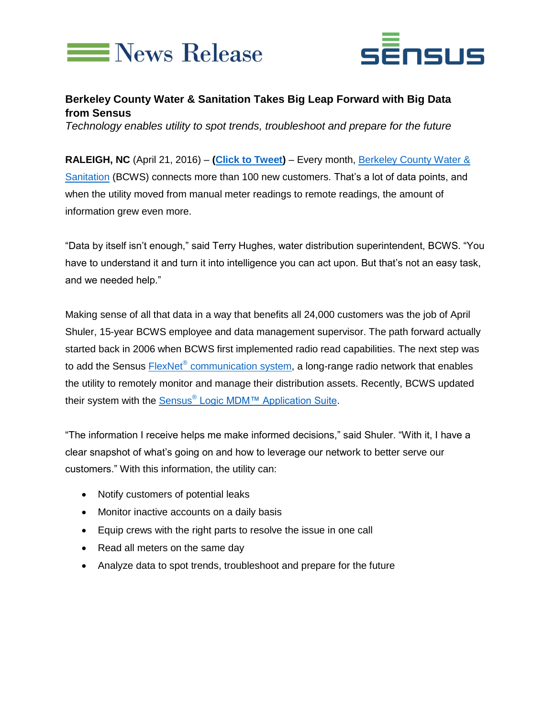



## **Berkeley County Water & Sanitation Takes Big Leap Forward with Big Data from Sensus**

*Technology enables utility to spot trends, troubleshoot and prepare for the future*

**RALEIGH, NC** (April 21, 2016) – **[\(Click to Tweet\)](http://ctt.ec/N9hO5)** – Every month, [Berkeley County Water &](http://www.bcwsa.com/)  [Sanitation](http://www.bcwsa.com/) (BCWS) connects more than 100 new customers. That's a lot of data points, and when the utility moved from manual meter readings to remote readings, the amount of information grew even more.

"Data by itself isn't enough," said Terry Hughes, water distribution superintendent, BCWS. "You have to understand it and turn it into intelligence you can act upon. But that's not an easy task, and we needed help."

Making sense of all that data in a way that benefits all 24,000 customers was the job of April Shuler, 15-year BCWS employee and data management supervisor. The path forward actually started back in 2006 when BCWS first implemented radio read capabilities. The next step was to add the Sensus **FlexNet<sup>®</sup> communication system**, a long-range radio network that enables the utility to remotely monitor and manage their distribution assets. Recently, BCWS updated their system with the Sensus<sup>®</sup> [Logic MDM™ Application Suite.](http://sensus.com/products/sensus-logic-mdm/)

"The information I receive helps me make informed decisions," said Shuler. "With it, I have a clear snapshot of what's going on and how to leverage our network to better serve our customers." With this information, the utility can:

- Notify customers of potential leaks
- Monitor inactive accounts on a daily basis
- Equip crews with the right parts to resolve the issue in one call
- Read all meters on the same day
- Analyze data to spot trends, troubleshoot and prepare for the future